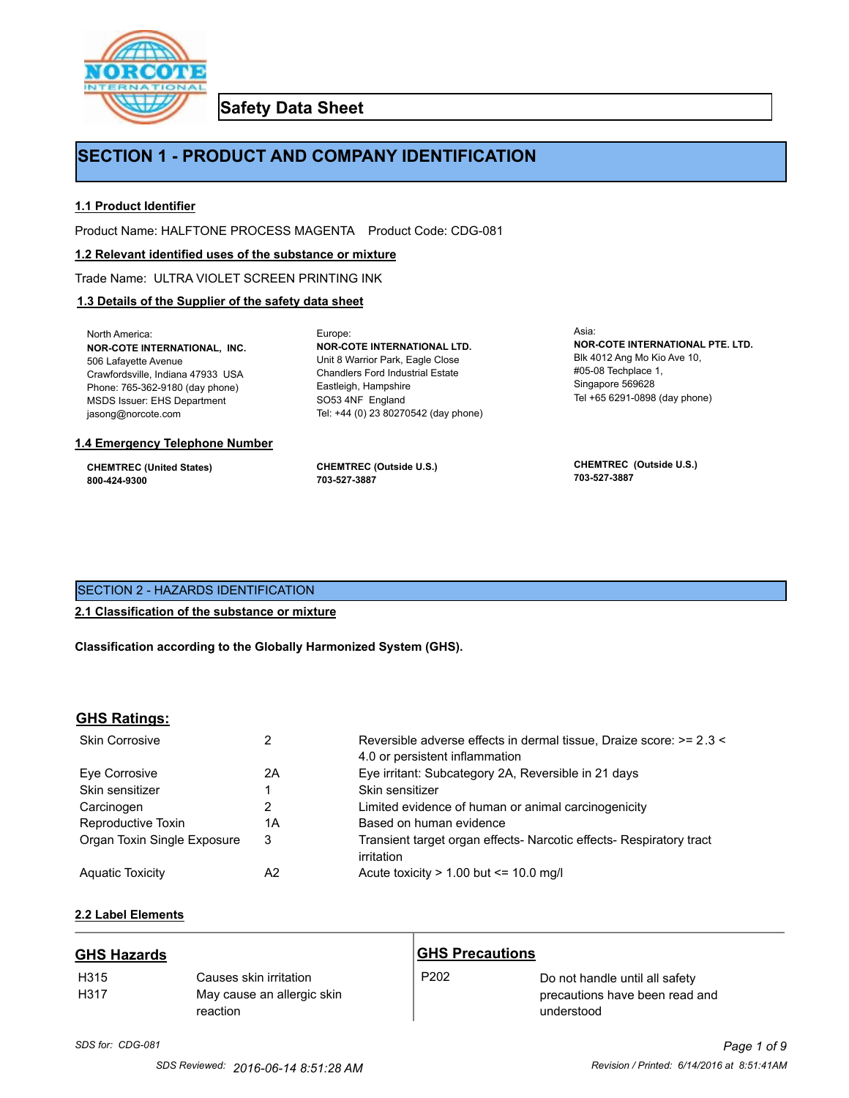

**Safety Data Sheet**

# **SECTION 1 - PRODUCT AND COMPANY IDENTIFICATION**

Europe:

# **1.1 Product Identifier**

Product Name: HALFTONE PROCESS MAGENTA Product Code: CDG-081

# **1.2 Relevant identified uses of the substance or mixture**

Trade Name: ULTRA VIOLET SCREEN PRINTING INK

# **1.3 Details of the Supplier of the safety data sheet**

North America: **NOR-COTE INTERNATIONAL, INC.** 506 Lafayette Avenue Crawfordsville, Indiana 47933 USA Phone: 765-362-9180 (day phone) MSDS Issuer: EHS Department jasong@norcote.com

# **1.4 Emergency Telephone Number**

**CHEMTREC (United States) 800-424-9300**

**CHEMTREC (Outside U.S.) 703-527-3887**

Eastleigh, Hampshire SO53 4NF England

**NOR-COTE INTERNATIONAL LTD.** Unit 8 Warrior Park, Eagle Close Chandlers Ford Industrial Estate

Tel: +44 (0) 23 80270542 (day phone)

Asia: **NOR-COTE INTERNATIONAL PTE. LTD.** Blk 4012 Ang Mo Kio Ave 10, #05-08 Techplace 1, Singapore 569628 Tel +65 6291-0898 (day phone)

**CHEMTREC (Outside U.S.) 703-527-3887**

# SECTION 2 - HAZARDS IDENTIFICATION

# **2.1 Classification of the substance or mixture**

**Classification according to the Globally Harmonized System (GHS).**

# **GHS Ratings:**

| <b>Skin Corrosive</b>       | 2  | Reversible adverse effects in dermal tissue, Draize score: >= 2.3 <<br>4.0 or persistent inflammation |
|-----------------------------|----|-------------------------------------------------------------------------------------------------------|
| Eve Corrosive               | 2A | Eye irritant: Subcategory 2A, Reversible in 21 days                                                   |
| Skin sensitizer             |    | Skin sensitizer                                                                                       |
| Carcinogen                  |    | Limited evidence of human or animal carcinogenicity                                                   |
| Reproductive Toxin          | 1A | Based on human evidence                                                                               |
| Organ Toxin Single Exposure | 3  | Transient target organ effects- Narcotic effects- Respiratory tract<br>irritation                     |
| <b>Aguatic Toxicity</b>     | A2 | Acute toxicity $> 1.00$ but $\leq 10.0$ mg/l                                                          |

# **2.2 Label Elements**

| <b>GHS Hazards</b>       |                                                                  | <b>GHS Precautions</b> |                                                                                |
|--------------------------|------------------------------------------------------------------|------------------------|--------------------------------------------------------------------------------|
| H <sub>315</sub><br>H317 | Causes skin irritation<br>May cause an allergic skin<br>reaction | P <sub>202</sub>       | Do not handle until all safety<br>precautions have been read and<br>understood |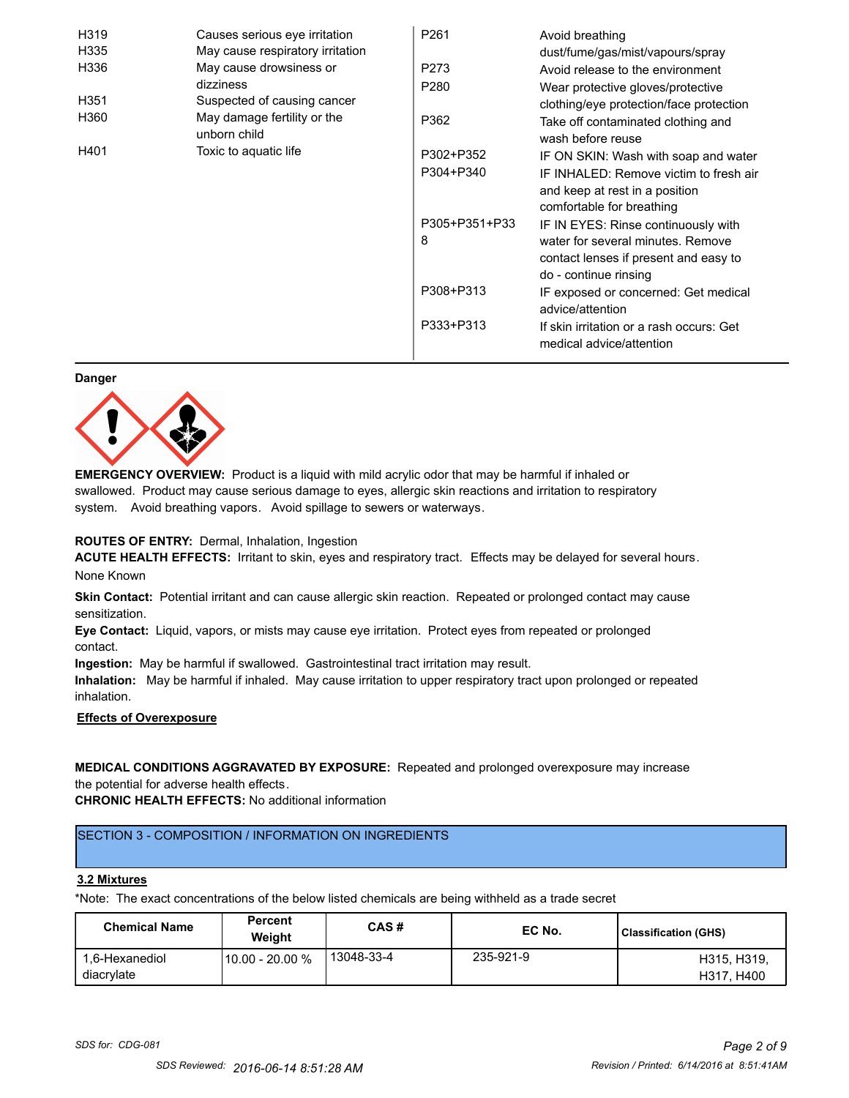| H319 | Causes serious eye irritation               | P <sub>261</sub> | Avoid breathing                                                      |
|------|---------------------------------------------|------------------|----------------------------------------------------------------------|
| H335 | May cause respiratory irritation            |                  | dust/fume/gas/mist/vapours/spray                                     |
| H336 | May cause drowsiness or                     | P273             | Avoid release to the environment                                     |
|      | dizziness                                   | P <sub>280</sub> | Wear protective gloves/protective                                    |
| H351 | Suspected of causing cancer                 |                  | clothing/eye protection/face protection                              |
| H360 | May damage fertility or the<br>unborn child | P362             | Take off contaminated clothing and<br>wash before reuse              |
| H401 | Toxic to aquatic life                       | P302+P352        | IF ON SKIN: Wash with soap and water                                 |
|      |                                             | P304+P340        | IF INHALED: Remove victim to fresh air                               |
|      |                                             |                  | and keep at rest in a position                                       |
|      |                                             |                  | comfortable for breathing                                            |
|      |                                             | P305+P351+P33    | IF IN EYES: Rinse continuously with                                  |
|      |                                             | 8                | water for several minutes. Remove                                    |
|      |                                             |                  | contact lenses if present and easy to                                |
|      |                                             |                  | do - continue rinsing                                                |
|      |                                             | P308+P313        | IF exposed or concerned: Get medical                                 |
|      |                                             |                  | advice/attention                                                     |
|      |                                             | P333+P313        | If skin irritation or a rash occurs: Get<br>medical advice/attention |

#### **Danger**



**EMERGENCY OVERVIEW:** Product is a liquid with mild acrylic odor that may be harmful if inhaled or swallowed. Product may cause serious damage to eyes, allergic skin reactions and irritation to respiratory system. Avoid breathing vapors. Avoid spillage to sewers or waterways.

# **ROUTES OF ENTRY:** Dermal, Inhalation, Ingestion

**ACUTE HEALTH EFFECTS:** Irritant to skin, eyes and respiratory tract. Effects may be delayed for several hours. None Known

**Skin Contact:** Potential irritant and can cause allergic skin reaction. Repeated or prolonged contact may cause sensitization.

**Eye Contact:** Liquid, vapors, or mists may cause eye irritation. Protect eyes from repeated or prolonged contact.

**Ingestion:** May be harmful if swallowed. Gastrointestinal tract irritation may result.

**Inhalation:** May be harmful if inhaled. May cause irritation to upper respiratory tract upon prolonged or repeated inhalation.

# **Effects of Overexposure**

# **MEDICAL CONDITIONS AGGRAVATED BY EXPOSURE:** Repeated and prolonged overexposure may increase the potential for adverse health effects.

**CHRONIC HEALTH EFFECTS:** No additional information

# SECTION 3 - COMPOSITION / INFORMATION ON INGREDIENTS

#### **3.2 Mixtures**

\*Note: The exact concentrations of the below listed chemicals are being withheld as a trade secret

| <b>Chemical Name</b>         | <b>Percent</b><br>Weiaht | CAS#       | EC No.    | <b>Classification (GHS)</b> |
|------------------------------|--------------------------|------------|-----------|-----------------------------|
| 1.6-Hexanediol<br>diacrylate | 10.00 - 20.00 %          | 13048-33-4 | 235-921-9 | H315, H319,<br>H317, H400   |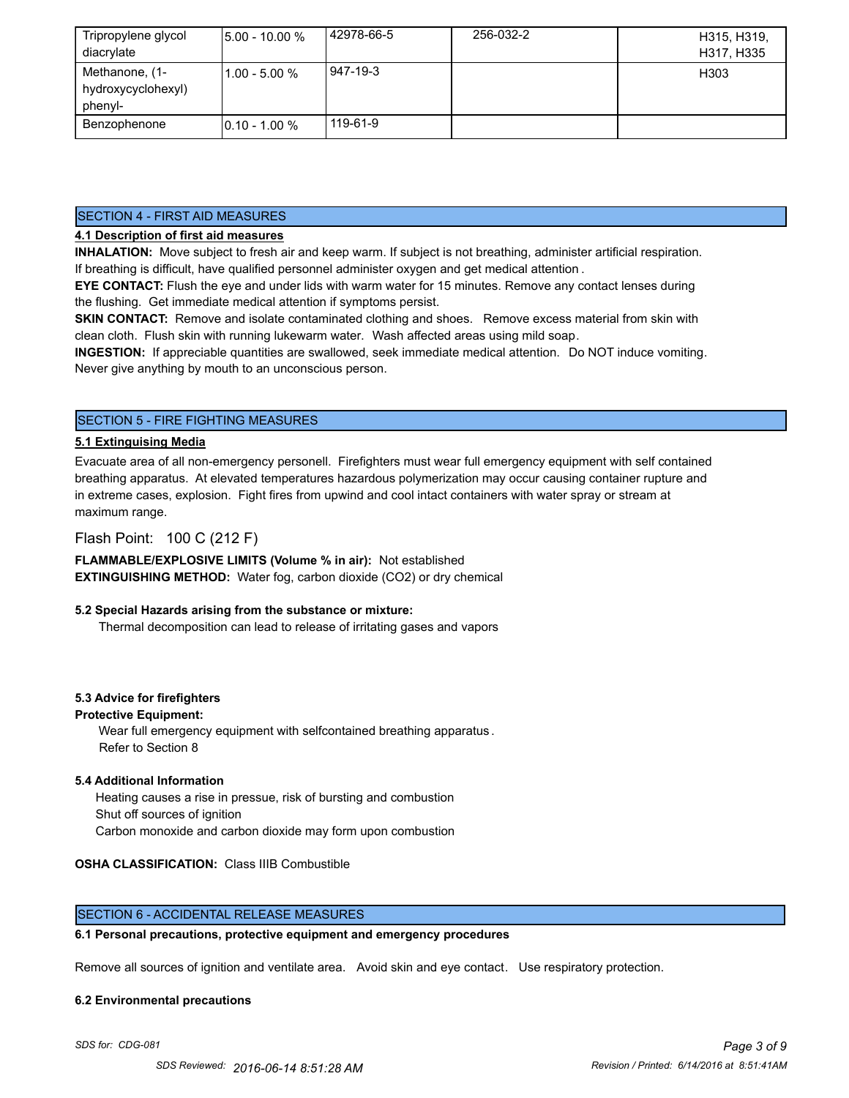| Tripropylene glycol<br>diacrylate               | $5.00 - 10.00 %$ | 42978-66-5 | 256-032-2 | H315, H319,<br>H317, H335 |
|-------------------------------------------------|------------------|------------|-----------|---------------------------|
| Methanone, (1-<br>hydroxycyclohexyl)<br>phenyl- | $11.00 - 5.00 %$ | 947-19-3   |           | H303                      |
| Benzophenone                                    | $10.10 - 1.00 %$ | 119-61-9   |           |                           |

# SECTION 4 - FIRST AID MEASURES

# **4.1 Description of first aid measures**

**INHALATION:** Move subject to fresh air and keep warm. If subject is not breathing, administer artificial respiration. If breathing is difficult, have qualified personnel administer oxygen and get medical attention .

**EYE CONTACT:** Flush the eye and under lids with warm water for 15 minutes. Remove any contact lenses during the flushing. Get immediate medical attention if symptoms persist.

**SKIN CONTACT:** Remove and isolate contaminated clothing and shoes. Remove excess material from skin with clean cloth. Flush skin with running lukewarm water. Wash affected areas using mild soap.

**INGESTION:** If appreciable quantities are swallowed, seek immediate medical attention. Do NOT induce vomiting. Never give anything by mouth to an unconscious person.

# SECTION 5 - FIRE FIGHTING MEASURES

# **5.1 Extinguising Media**

Evacuate area of all non-emergency personell. Firefighters must wear full emergency equipment with self contained breathing apparatus. At elevated temperatures hazardous polymerization may occur causing container rupture and in extreme cases, explosion. Fight fires from upwind and cool intact containers with water spray or stream at maximum range.

# Flash Point: 100 C (212 F)

**FLAMMABLE/EXPLOSIVE LIMITS (Volume % in air):** Not established **EXTINGUISHING METHOD:** Water fog, carbon dioxide (CO2) or dry chemical

# **5.2 Special Hazards arising from the substance or mixture:**

Thermal decomposition can lead to release of irritating gases and vapors

# **5.3 Advice for firefighters**

# **Protective Equipment:**

Wear full emergency equipment with selfcontained breathing apparatus . Refer to Section 8

# **5.4 Additional Information**

 Heating causes a rise in pressue, risk of bursting and combustion Shut off sources of ignition Carbon monoxide and carbon dioxide may form upon combustion

# **OSHA CLASSIFICATION:** Class IIIB Combustible

# SECTION 6 - ACCIDENTAL RELEASE MEASURES

# **6.1 Personal precautions, protective equipment and emergency procedures**

Remove all sources of ignition and ventilate area. Avoid skin and eye contact. Use respiratory protection.

#### **6.2 Environmental precautions**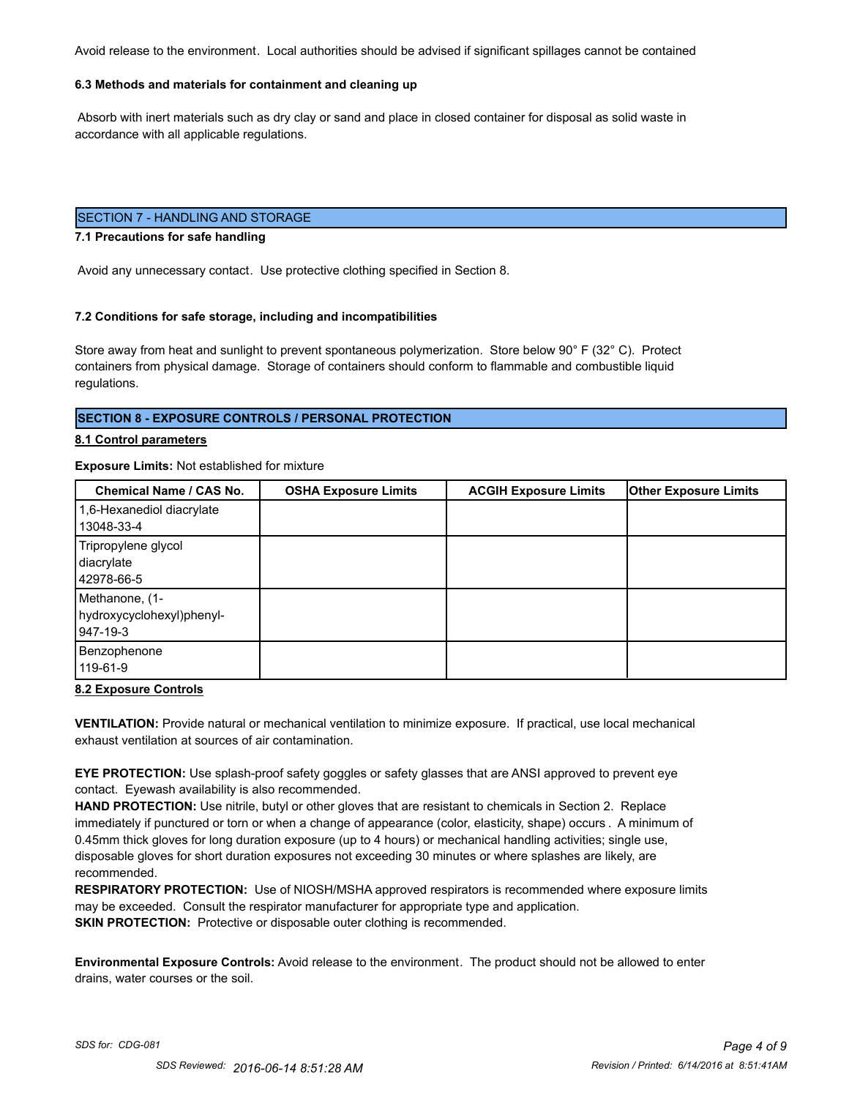Avoid release to the environment. Local authorities should be advised if significant spillages cannot be contained

# **6.3 Methods and materials for containment and cleaning up**

 Absorb with inert materials such as dry clay or sand and place in closed container for disposal as solid waste in accordance with all applicable regulations.

# SECTION 7 - HANDLING AND STORAGE

#### **7.1 Precautions for safe handling**

Avoid any unnecessary contact. Use protective clothing specified in Section 8.

#### **7.2 Conditions for safe storage, including and incompatibilities**

Store away from heat and sunlight to prevent spontaneous polymerization. Store below 90° F (32° C). Protect containers from physical damage. Storage of containers should conform to flammable and combustible liquid regulations.

# **SECTION 8 - EXPOSURE CONTROLS / PERSONAL PROTECTION**

#### **8.1 Control parameters**

#### **Exposure Limits:** Not established for mixture

| <b>Chemical Name / CAS No.</b>                          | <b>OSHA Exposure Limits</b> | <b>ACGIH Exposure Limits</b> | <b>Other Exposure Limits</b> |
|---------------------------------------------------------|-----------------------------|------------------------------|------------------------------|
| 1,6-Hexanediol diacrylate<br>13048-33-4                 |                             |                              |                              |
| Tripropylene glycol<br>diacrylate<br>42978-66-5         |                             |                              |                              |
| Methanone, (1-<br>hydroxycyclohexyl)phenyl-<br>947-19-3 |                             |                              |                              |
| Benzophenone<br>119-61-9                                |                             |                              |                              |

#### **8.2 Exposure Controls**

**VENTILATION:** Provide natural or mechanical ventilation to minimize exposure. If practical, use local mechanical exhaust ventilation at sources of air contamination.

**EYE PROTECTION:** Use splash-proof safety goggles or safety glasses that are ANSI approved to prevent eye contact. Eyewash availability is also recommended.

**HAND PROTECTION:** Use nitrile, butyl or other gloves that are resistant to chemicals in Section 2. Replace immediately if punctured or torn or when a change of appearance (color, elasticity, shape) occurs . A minimum of 0.45mm thick gloves for long duration exposure (up to 4 hours) or mechanical handling activities; single use, disposable gloves for short duration exposures not exceeding 30 minutes or where splashes are likely, are recommended.

**RESPIRATORY PROTECTION:** Use of NIOSH/MSHA approved respirators is recommended where exposure limits may be exceeded. Consult the respirator manufacturer for appropriate type and application. **SKIN PROTECTION:** Protective or disposable outer clothing is recommended.

**Environmental Exposure Controls:** Avoid release to the environment. The product should not be allowed to enter drains, water courses or the soil.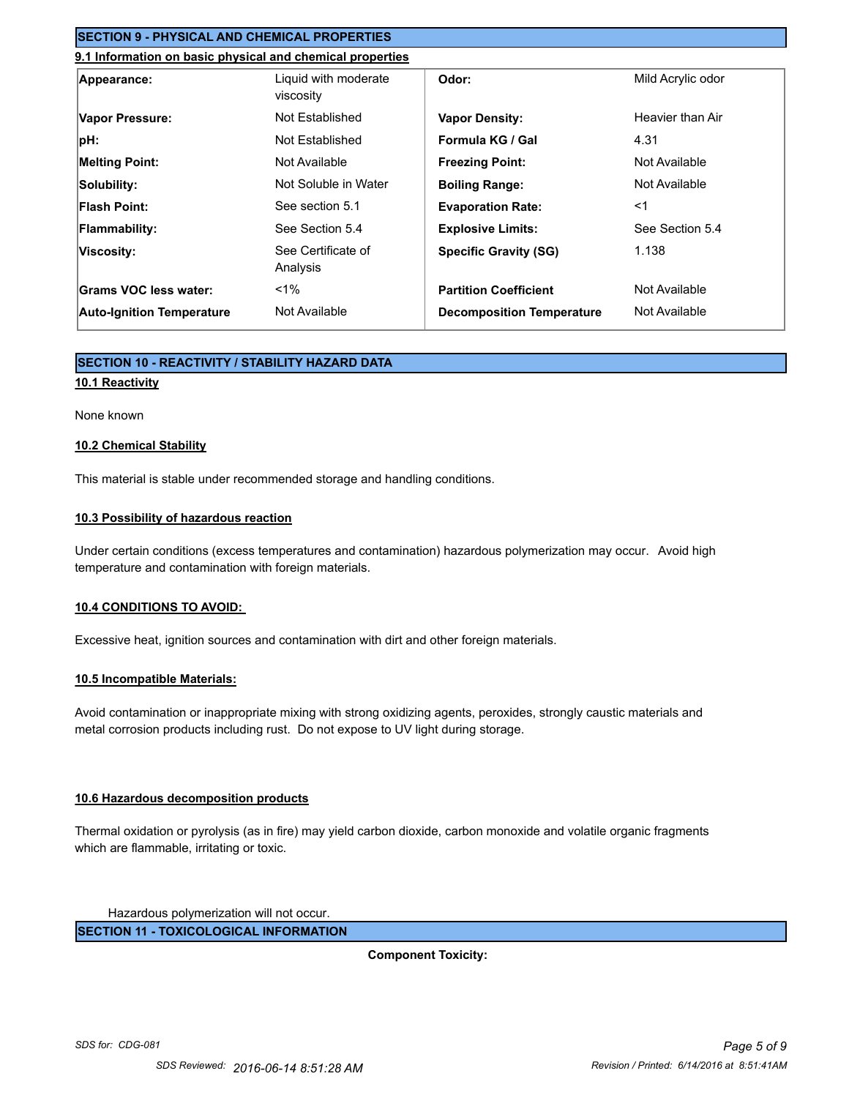# **SECTION 9 - PHYSICAL AND CHEMICAL PROPERTIES**

# **9.1 Information on basic physical and chemical properties**

| Appearance:                      | Liquid with moderate<br>viscosity | Odor:                            | Mild Acrylic odor |
|----------------------------------|-----------------------------------|----------------------------------|-------------------|
| Vapor Pressure:                  | Not Established                   | <b>Vapor Density:</b>            | Heavier than Air  |
| pH:                              | Not Established                   | Formula KG / Gal                 | 4.31              |
| <b>Melting Point:</b>            | Not Available                     | <b>Freezing Point:</b>           | Not Available     |
| Solubility:                      | Not Soluble in Water              | <b>Boiling Range:</b>            | Not Available     |
| <b>Flash Point:</b>              | See section 5.1                   | <b>Evaporation Rate:</b>         | $<$ 1             |
| <b>Flammability:</b>             | See Section 5.4                   | <b>Explosive Limits:</b>         | See Section 5.4   |
| Viscosity:                       | See Certificate of<br>Analysis    | <b>Specific Gravity (SG)</b>     | 1.138             |
| Grams VOC less water:            | $< 1\%$                           | <b>Partition Coefficient</b>     | Not Available     |
| <b>Auto-Ignition Temperature</b> | Not Available                     | <b>Decomposition Temperature</b> | Not Available     |

# **SECTION 10 - REACTIVITY / STABILITY HAZARD DATA**

# **10.1 Reactivity**

#### None known

# **10.2 Chemical Stability**

This material is stable under recommended storage and handling conditions.

# **10.3 Possibility of hazardous reaction**

Under certain conditions (excess temperatures and contamination) hazardous polymerization may occur. Avoid high temperature and contamination with foreign materials.

# **10.4 CONDITIONS TO AVOID:**

Excessive heat, ignition sources and contamination with dirt and other foreign materials.

# **10.5 Incompatible Materials:**

Avoid contamination or inappropriate mixing with strong oxidizing agents, peroxides, strongly caustic materials and metal corrosion products including rust. Do not expose to UV light during storage.

# **10.6 Hazardous decomposition products**

Thermal oxidation or pyrolysis (as in fire) may yield carbon dioxide, carbon monoxide and volatile organic fragments which are flammable, irritating or toxic.

Hazardous polymerization will not occur.

**SECTION 11 - TOXICOLOGICAL INFORMATION**

**Component Toxicity:**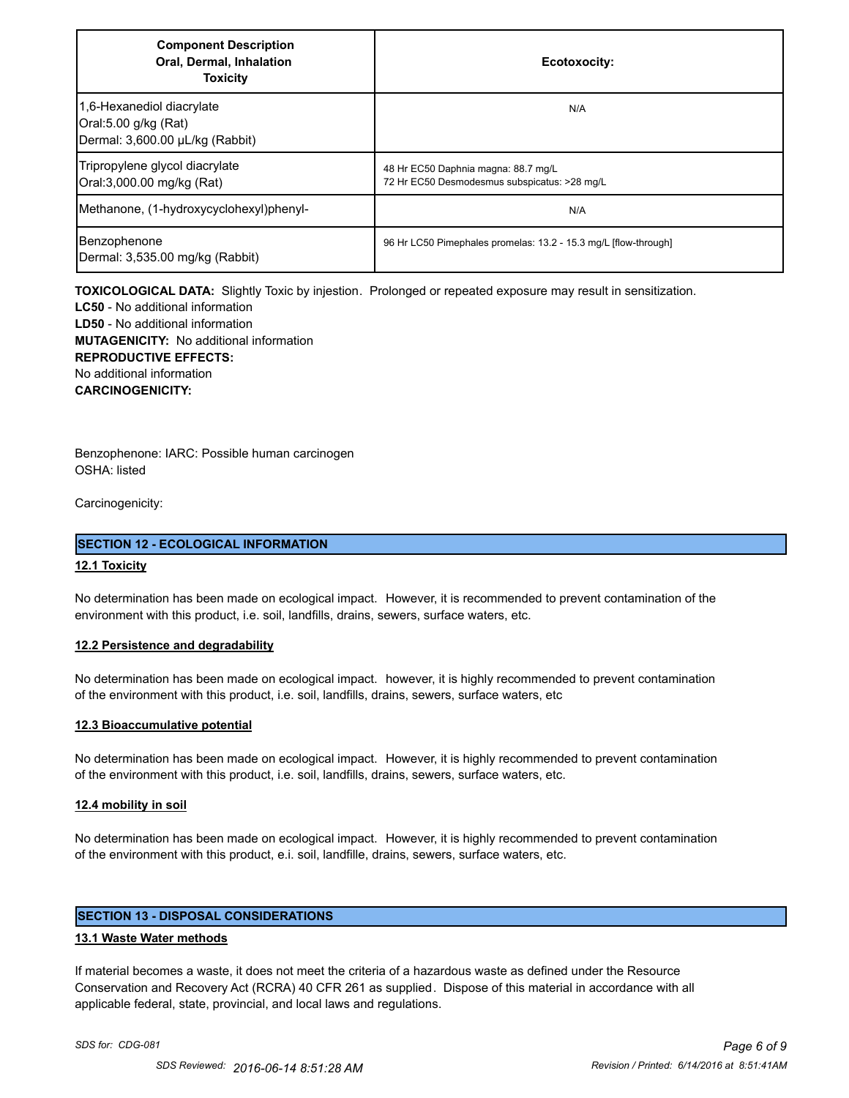| <b>Component Description</b><br>Oral, Dermal, Inhalation<br><b>Toxicity</b>          | Ecotoxocity:                                                                        |
|--------------------------------------------------------------------------------------|-------------------------------------------------------------------------------------|
| 1,6-Hexanediol diacrylate<br>Oral:5.00 g/kg (Rat)<br>Dermal: 3,600.00 µL/kg (Rabbit) | N/A                                                                                 |
| Tripropylene glycol diacrylate<br>Oral:3,000.00 mg/kg (Rat)                          | 48 Hr EC50 Daphnia magna: 88.7 mg/L<br>72 Hr EC50 Desmodesmus subspicatus: >28 mg/L |
| Methanone, (1-hydroxycyclohexyl)phenyl-                                              | N/A                                                                                 |
| Benzophenone<br>Dermal: 3,535.00 mg/kg (Rabbit)                                      | 96 Hr LC50 Pimephales promelas: 13.2 - 15.3 mg/L [flow-through]                     |

**TOXICOLOGICAL DATA:** Slightly Toxic by injestion. Prolonged or repeated exposure may result in sensitization.

**LC50** - No additional information **LD50** - No additional information **MUTAGENICITY:** No additional information **REPRODUCTIVE EFFECTS:** No additional information **CARCINOGENICITY:**

Benzophenone: IARC: Possible human carcinogen OSHA: listed

Carcinogenicity:

# **SECTION 12 - ECOLOGICAL INFORMATION**

# **12.1 Toxicity**

No determination has been made on ecological impact. However, it is recommended to prevent contamination of the environment with this product, i.e. soil, landfills, drains, sewers, surface waters, etc.

# **12.2 Persistence and degradability**

No determination has been made on ecological impact. however, it is highly recommended to prevent contamination of the environment with this product, i.e. soil, landfills, drains, sewers, surface waters, etc

# **12.3 Bioaccumulative potential**

No determination has been made on ecological impact. However, it is highly recommended to prevent contamination of the environment with this product, i.e. soil, landfills, drains, sewers, surface waters, etc.

# **12.4 mobility in soil**

No determination has been made on ecological impact. However, it is highly recommended to prevent contamination of the environment with this product, e.i. soil, landfille, drains, sewers, surface waters, etc.

# **SECTION 13 - DISPOSAL CONSIDERATIONS**

# **13.1 Waste Water methods**

If material becomes a waste, it does not meet the criteria of a hazardous waste as defined under the Resource Conservation and Recovery Act (RCRA) 40 CFR 261 as supplied. Dispose of this material in accordance with all applicable federal, state, provincial, and local laws and regulations.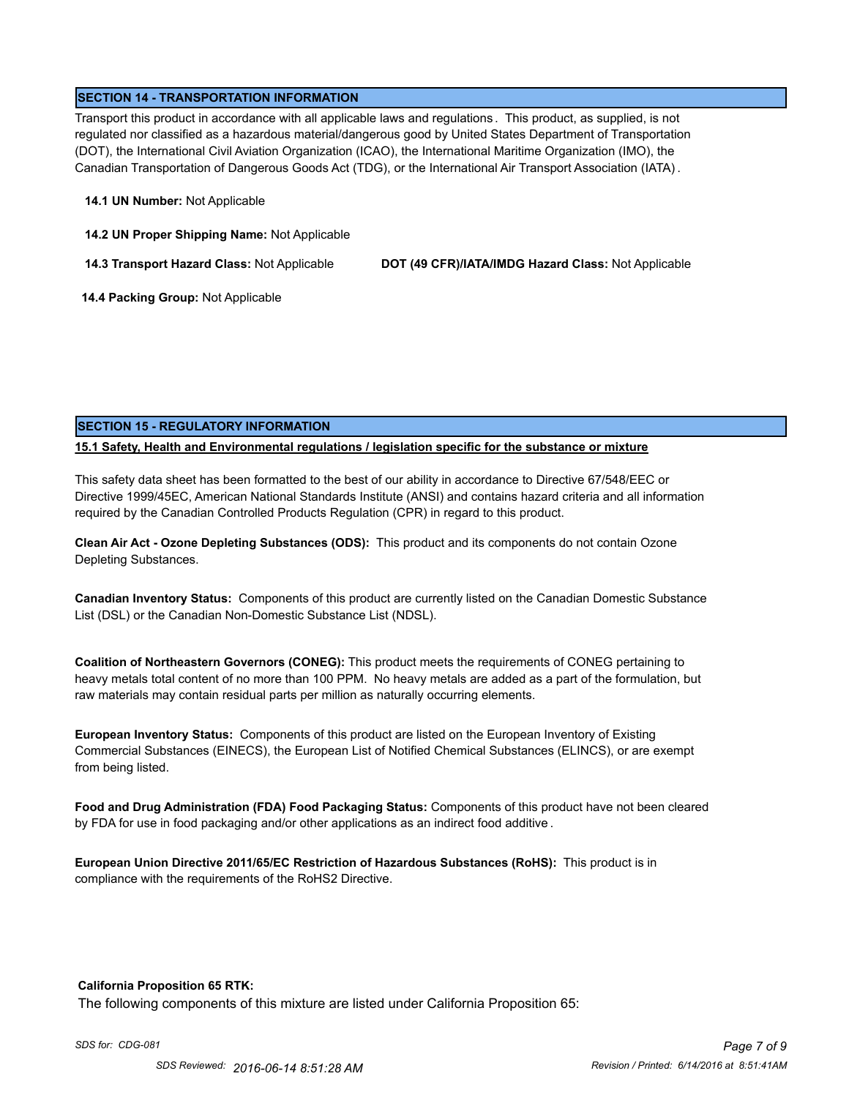# **SECTION 14 - TRANSPORTATION INFORMATION**

Transport this product in accordance with all applicable laws and regulations . This product, as supplied, is not regulated nor classified as a hazardous material/dangerous good by United States Department of Transportation (DOT), the International Civil Aviation Organization (ICAO), the International Maritime Organization (IMO), the Canadian Transportation of Dangerous Goods Act (TDG), or the International Air Transport Association (IATA) .

#### **14.1 UN Number:** Not Applicable

**14.2 UN Proper Shipping Name:** Not Applicable

**14.3 Transport Hazard Class:** Not Applicable **DOT (49 CFR)/IATA/IMDG Hazard Class:** Not Applicable

 **14.4 Packing Group:** Not Applicable

# **SECTION 15 - REGULATORY INFORMATION**

# **15.1 Safety, Health and Environmental regulations / legislation specific for the substance or mixture**

This safety data sheet has been formatted to the best of our ability in accordance to Directive 67/548/EEC or Directive 1999/45EC, American National Standards Institute (ANSI) and contains hazard criteria and all information required by the Canadian Controlled Products Regulation (CPR) in regard to this product.

**Clean Air Act - Ozone Depleting Substances (ODS):** This product and its components do not contain Ozone Depleting Substances.

**Canadian Inventory Status:** Components of this product are currently listed on the Canadian Domestic Substance List (DSL) or the Canadian Non-Domestic Substance List (NDSL).

**Coalition of Northeastern Governors (CONEG):** This product meets the requirements of CONEG pertaining to heavy metals total content of no more than 100 PPM. No heavy metals are added as a part of the formulation, but raw materials may contain residual parts per million as naturally occurring elements.

**European Inventory Status:** Components of this product are listed on the European Inventory of Existing Commercial Substances (EINECS), the European List of Notified Chemical Substances (ELINCS), or are exempt from being listed.

**Food and Drug Administration (FDA) Food Packaging Status:** Components of this product have not been cleared by FDA for use in food packaging and/or other applications as an indirect food additive .

**European Union Directive 2011/65/EC Restriction of Hazardous Substances (RoHS):** This product is in compliance with the requirements of the RoHS2 Directive.

# **California Proposition 65 RTK:**

The following components of this mixture are listed under California Proposition 65: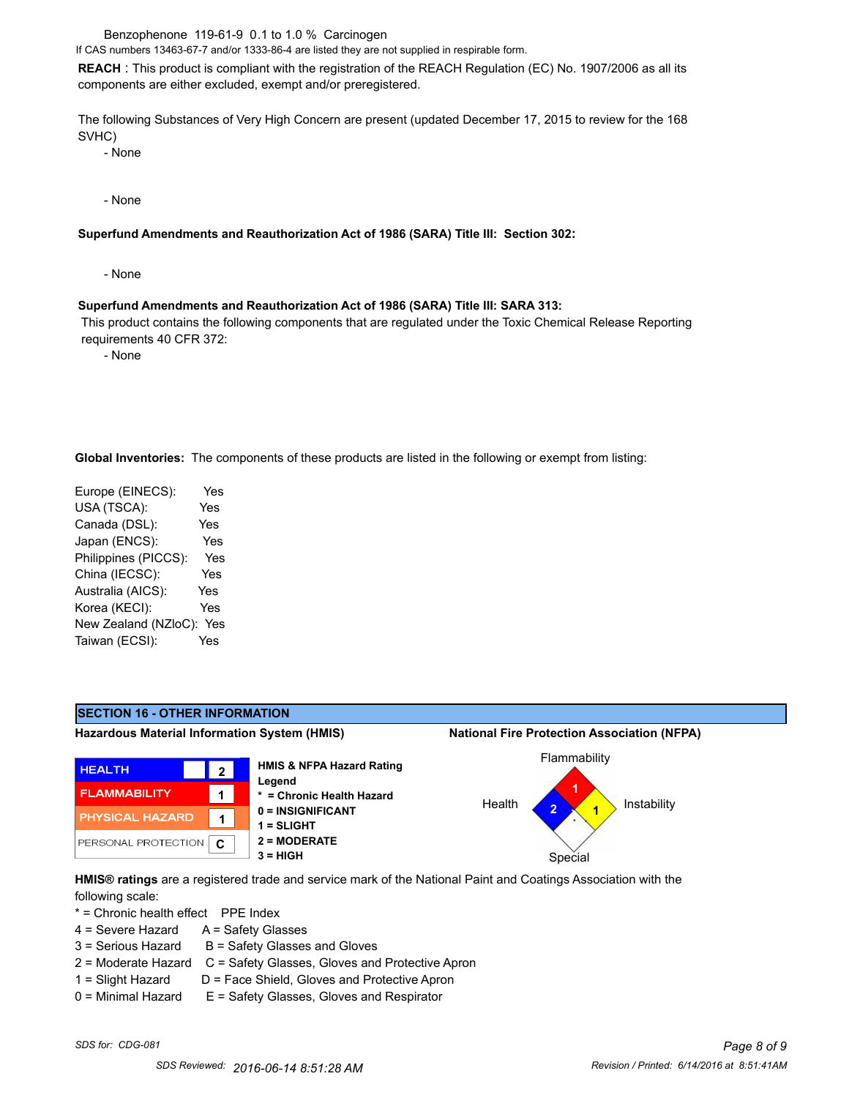Benzophenone 119-61-9 0.1 to 1.0 % Carcinogen

If CAS numbers 13463-67-7 and/or 1333-86-4 are listed they are not supplied in respirable form.

**REACH** : This product is compliant with the registration of the REACH Regulation (EC) No. 1907/2006 as all its components are either excluded, exempt and/or preregistered.

The following Substances of Very High Concern are present (updated December 17, 2015 to review for the 168 SVHC)

- None

- None

#### **Superfund Amendments and Reauthorization Act of 1986 (SARA) Title III: Section 302:**

- None

#### **Superfund Amendments and Reauthorization Act of 1986 (SARA) Title III: SARA 313:**

 This product contains the following components that are regulated under the Toxic Chemical Release Reporting requirements 40 CFR 372:

- None

**Global Inventories:** The components of these products are listed in the following or exempt from listing:

| Europe (EINECS):     | Yes        |
|----------------------|------------|
| USA (TSCA):          | Yes        |
| Canada (DSL):        | <b>Yes</b> |
| Japan (ENCS):        | Yes        |
| Philippines (PICCS): | Yes        |
| China (IECSC):       | Yes        |
| Australia (AICS):    | Yes        |
| Korea (KECI):        | Yes        |
| New Zealand (NZloC): | Yes        |
| Taiwan (ECSI):       | Yes        |
|                      |            |



**HMIS® ratings** are a registered trade and service mark of the National Paint and Coatings Association with the following scale:

\* = Chronic health effect PPE Index

- 4 = Severe Hazard A = Safety Glasses
- $3 =$  Serious Hazard  $B =$  Safety Glasses and Gloves
- 2 = Moderate Hazard C = Safety Glasses, Gloves and Protective Apron
- 
- 1 = Slight Hazard D = Face Shield, Gloves and Protective Apron 0 = Minimal Hazard E = Safety Glasses, Gloves and Respirator
-